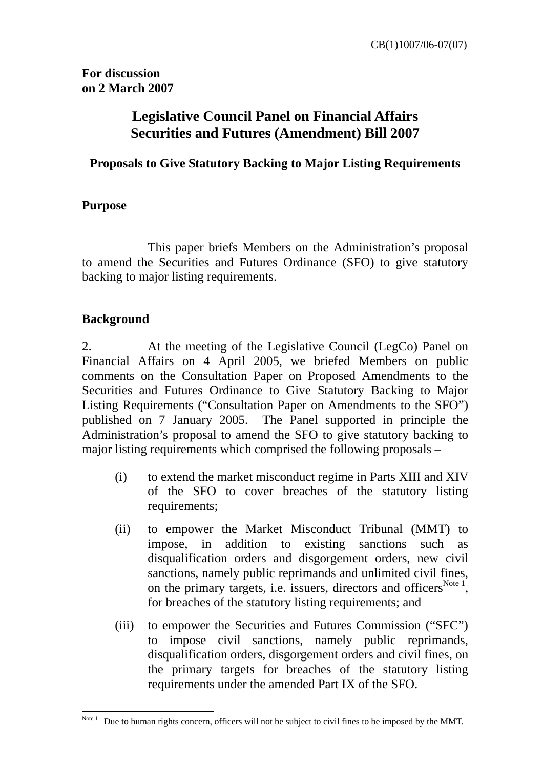**For discussion on 2 March 2007** 

# **Legislative Council Panel on Financial Affairs Securities and Futures (Amendment) Bill 2007**

## **Proposals to Give Statutory Backing to Major Listing Requirements**

## **Purpose**

 This paper briefs Members on the Administration's proposal to amend the Securities and Futures Ordinance (SFO) to give statutory backing to major listing requirements.

# **Background**

2. At the meeting of the Legislative Council (LegCo) Panel on Financial Affairs on 4 April 2005, we briefed Members on public comments on the Consultation Paper on Proposed Amendments to the Securities and Futures Ordinance to Give Statutory Backing to Major Listing Requirements ("Consultation Paper on Amendments to the SFO") published on 7 January 2005. The Panel supported in principle the Administration's proposal to amend the SFO to give statutory backing to major listing requirements which comprised the following proposals –

- (i) to extend the market misconduct regime in Parts XIII and XIV of the SFO to cover breaches of the statutory listing requirements;
- (ii) to empower the Market Misconduct Tribunal (MMT) to impose, in addition to existing sanctions such as disqualification orders and disgorgement orders, new civil sanctions, namely public reprimands and unlimited civil fines, on the primary targets, i.e. issuers, directors and officers<sup>Note 1</sup>, for breaches of the statutory listing requirements; and
- (iii) to empower the Securities and Futures Commission ("SFC") to impose civil sanctions, namely public reprimands, disqualification orders, disgorgement orders and civil fines, on the primary targets for breaches of the statutory listing requirements under the amended Part IX of the SFO.

 $\overline{a}$ Note 1 Due to human rights concern, officers will not be subject to civil fines to be imposed by the MMT.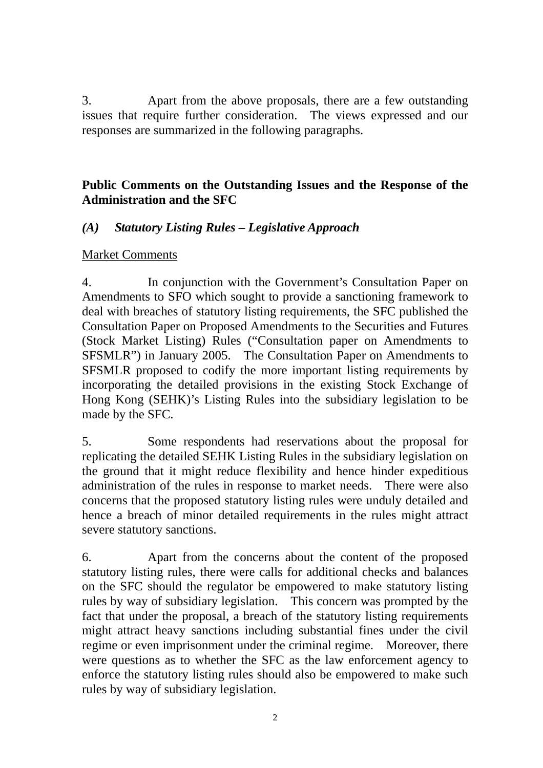3. Apart from the above proposals, there are a few outstanding issues that require further consideration. The views expressed and our responses are summarized in the following paragraphs.

## **Public Comments on the Outstanding Issues and the Response of the Administration and the SFC**

## *(A) Statutory Listing Rules – Legislative Approach*

#### Market Comments

4. In conjunction with the Government's Consultation Paper on Amendments to SFO which sought to provide a sanctioning framework to deal with breaches of statutory listing requirements, the SFC published the Consultation Paper on Proposed Amendments to the Securities and Futures (Stock Market Listing) Rules ("Consultation paper on Amendments to SFSMLR") in January 2005. The Consultation Paper on Amendments to SFSMLR proposed to codify the more important listing requirements by incorporating the detailed provisions in the existing Stock Exchange of Hong Kong (SEHK)'s Listing Rules into the subsidiary legislation to be made by the SFC.

5. Some respondents had reservations about the proposal for replicating the detailed SEHK Listing Rules in the subsidiary legislation on the ground that it might reduce flexibility and hence hinder expeditious administration of the rules in response to market needs. There were also concerns that the proposed statutory listing rules were unduly detailed and hence a breach of minor detailed requirements in the rules might attract severe statutory sanctions.

6. Apart from the concerns about the content of the proposed statutory listing rules, there were calls for additional checks and balances on the SFC should the regulator be empowered to make statutory listing rules by way of subsidiary legislation. This concern was prompted by the fact that under the proposal, a breach of the statutory listing requirements might attract heavy sanctions including substantial fines under the civil regime or even imprisonment under the criminal regime. Moreover, there were questions as to whether the SFC as the law enforcement agency to enforce the statutory listing rules should also be empowered to make such rules by way of subsidiary legislation.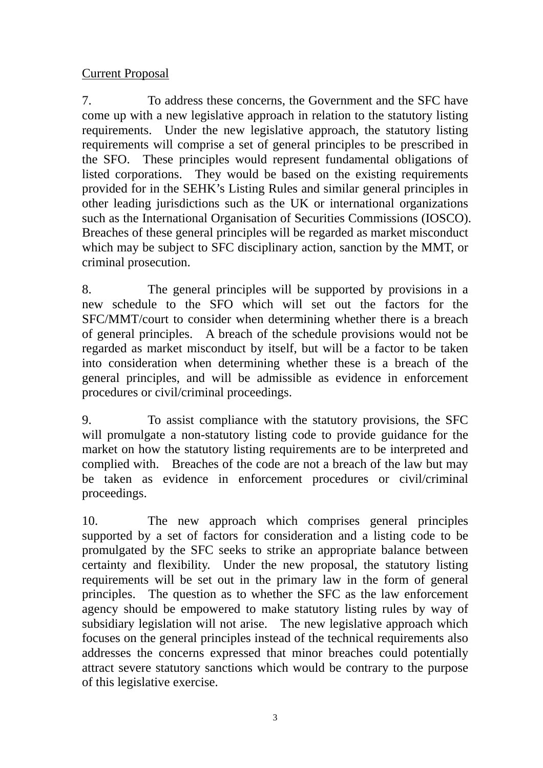# Current Proposal

7. To address these concerns, the Government and the SFC have come up with a new legislative approach in relation to the statutory listing requirements. Under the new legislative approach, the statutory listing requirements will comprise a set of general principles to be prescribed in the SFO. These principles would represent fundamental obligations of listed corporations. They would be based on the existing requirements provided for in the SEHK's Listing Rules and similar general principles in other leading jurisdictions such as the UK or international organizations such as the International Organisation of Securities Commissions (IOSCO). Breaches of these general principles will be regarded as market misconduct which may be subject to SFC disciplinary action, sanction by the MMT, or criminal prosecution.

8. The general principles will be supported by provisions in a new schedule to the SFO which will set out the factors for the SFC/MMT/court to consider when determining whether there is a breach of general principles. A breach of the schedule provisions would not be regarded as market misconduct by itself, but will be a factor to be taken into consideration when determining whether these is a breach of the general principles, and will be admissible as evidence in enforcement procedures or civil/criminal proceedings.

9. To assist compliance with the statutory provisions, the SFC will promulgate a non-statutory listing code to provide guidance for the market on how the statutory listing requirements are to be interpreted and complied with. Breaches of the code are not a breach of the law but may be taken as evidence in enforcement procedures or civil/criminal proceedings.

10. The new approach which comprises general principles supported by a set of factors for consideration and a listing code to be promulgated by the SFC seeks to strike an appropriate balance between certainty and flexibility. Under the new proposal, the statutory listing requirements will be set out in the primary law in the form of general principles. The question as to whether the SFC as the law enforcement agency should be empowered to make statutory listing rules by way of subsidiary legislation will not arise. The new legislative approach which focuses on the general principles instead of the technical requirements also addresses the concerns expressed that minor breaches could potentially attract severe statutory sanctions which would be contrary to the purpose of this legislative exercise.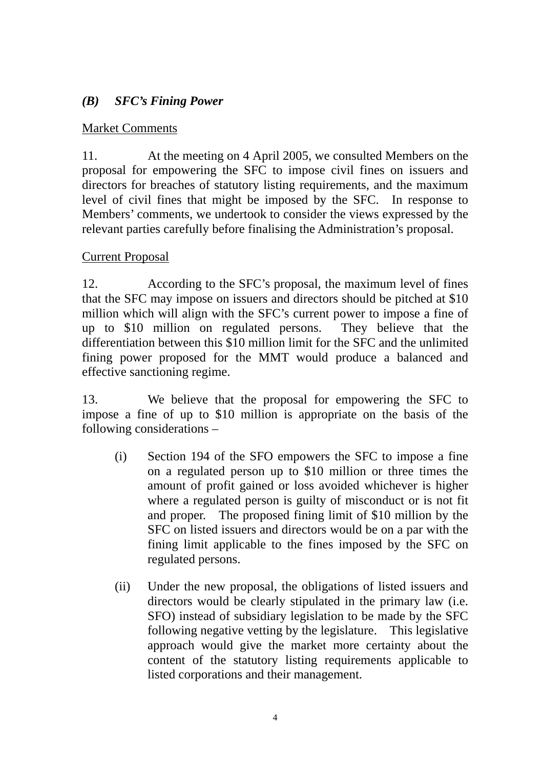# *(B) SFC's Fining Power*

## Market Comments

11. At the meeting on 4 April 2005, we consulted Members on the proposal for empowering the SFC to impose civil fines on issuers and directors for breaches of statutory listing requirements, and the maximum level of civil fines that might be imposed by the SFC. In response to Members' comments, we undertook to consider the views expressed by the relevant parties carefully before finalising the Administration's proposal.

## Current Proposal

12. According to the SFC's proposal, the maximum level of fines that the SFC may impose on issuers and directors should be pitched at \$10 million which will align with the SFC's current power to impose a fine of up to \$10 million on regulated persons. They believe that the differentiation between this \$10 million limit for the SFC and the unlimited fining power proposed for the MMT would produce a balanced and effective sanctioning regime.

13. We believe that the proposal for empowering the SFC to impose a fine of up to \$10 million is appropriate on the basis of the following considerations –

- (i) Section 194 of the SFO empowers the SFC to impose a fine on a regulated person up to \$10 million or three times the amount of profit gained or loss avoided whichever is higher where a regulated person is guilty of misconduct or is not fit and proper. The proposed fining limit of \$10 million by the SFC on listed issuers and directors would be on a par with the fining limit applicable to the fines imposed by the SFC on regulated persons.
- (ii) Under the new proposal, the obligations of listed issuers and directors would be clearly stipulated in the primary law (i.e. SFO) instead of subsidiary legislation to be made by the SFC following negative vetting by the legislature. This legislative approach would give the market more certainty about the content of the statutory listing requirements applicable to listed corporations and their management.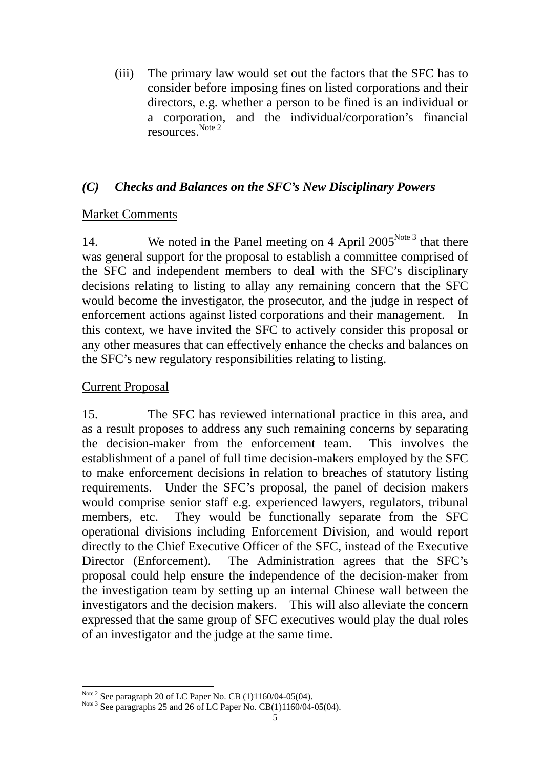(iii) The primary law would set out the factors that the SFC has to consider before imposing fines on listed corporations and their directors, e.g. whether a person to be fined is an individual or a corporation, and the individual/corporation's financial resources.<sup>Note 2</sup>

## *(C) Checks and Balances on the SFC's New Disciplinary Powers*

## Market Comments

14. We noted in the Panel meeting on 4 April 2005<sup>Note 3</sup> that there was general support for the proposal to establish a committee comprised of the SFC and independent members to deal with the SFC's disciplinary decisions relating to listing to allay any remaining concern that the SFC would become the investigator, the prosecutor, and the judge in respect of enforcement actions against listed corporations and their management. In this context, we have invited the SFC to actively consider this proposal or any other measures that can effectively enhance the checks and balances on the SFC's new regulatory responsibilities relating to listing.

#### Current Proposal

15. The SFC has reviewed international practice in this area, and as a result proposes to address any such remaining concerns by separating the decision-maker from the enforcement team. This involves the establishment of a panel of full time decision-makers employed by the SFC to make enforcement decisions in relation to breaches of statutory listing requirements. Under the SFC's proposal, the panel of decision makers would comprise senior staff e.g. experienced lawyers, regulators, tribunal members, etc. They would be functionally separate from the SFC operational divisions including Enforcement Division, and would report directly to the Chief Executive Officer of the SFC, instead of the Executive Director (Enforcement). The Administration agrees that the SFC's proposal could help ensure the independence of the decision-maker from the investigation team by setting up an internal Chinese wall between the investigators and the decision makers. This will also alleviate the concern expressed that the same group of SFC executives would play the dual roles of an investigator and the judge at the same time.

 $\overline{a}$ 

<sup>&</sup>lt;sup>Note 2</sup> See paragraph 20 of LC Paper No. CB (1)1160/04-05(04).<br><sup>Note 3</sup> See paragraphs 25 and 26 of LC Paper No. CB(1)1160/04-05(04).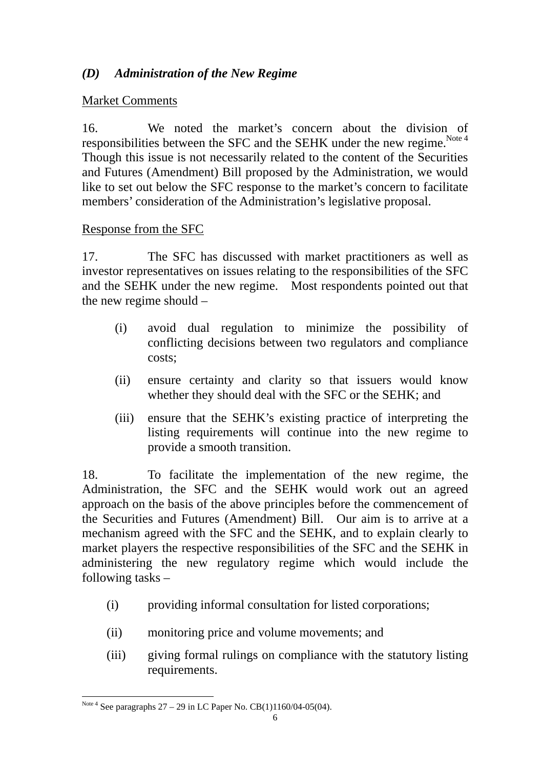# *(D) Administration of the New Regime*

## Market Comments

16. We noted the market's concern about the division of responsibilities between the SFC and the SEHK under the new regime.<sup>Note 4</sup> Though this issue is not necessarily related to the content of the Securities and Futures (Amendment) Bill proposed by the Administration, we would like to set out below the SFC response to the market's concern to facilitate members' consideration of the Administration's legislative proposal.

## Response from the SFC

17. The SFC has discussed with market practitioners as well as investor representatives on issues relating to the responsibilities of the SFC and the SEHK under the new regime. Most respondents pointed out that the new regime should –

- (i) avoid dual regulation to minimize the possibility of conflicting decisions between two regulators and compliance costs;
- (ii) ensure certainty and clarity so that issuers would know whether they should deal with the SFC or the SEHK; and
- (iii) ensure that the SEHK's existing practice of interpreting the listing requirements will continue into the new regime to provide a smooth transition.

18. To facilitate the implementation of the new regime, the Administration, the SFC and the SEHK would work out an agreed approach on the basis of the above principles before the commencement of the Securities and Futures (Amendment) Bill. Our aim is to arrive at a mechanism agreed with the SFC and the SEHK, and to explain clearly to market players the respective responsibilities of the SFC and the SEHK in administering the new regulatory regime which would include the following tasks –

- (i) providing informal consultation for listed corporations;
- (ii) monitoring price and volume movements; and
- (iii) giving formal rulings on compliance with the statutory listing requirements.

 $\overline{a}$ Note 4 See paragraphs  $27 - 29$  in LC Paper No. CB(1)1160/04-05(04).